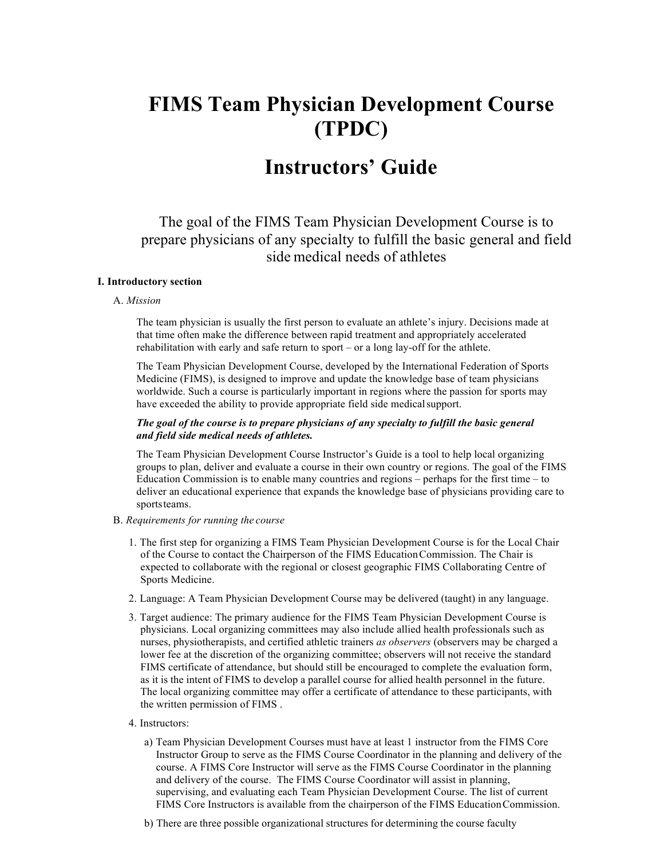# **FIMS Team Physician Development Course (TPDC)**

## **Instructors' Guide**

The goal of the FIMS Team Physician Development Course is to prepare physicians of any specialty to fulfill the basic general and field side medical needs of athletes

### **I. Introductory section**

#### A. *Mission*

The team physician is usually the first person to evaluate an athlete's injury. Decisions made at that time often make the difference between rapid treatment and appropriately accelerated rehabilitation with early and safe return to sport – or a long lay-off for the athlete.

The Team Physician Development Course, developed by the International Federation of Sports Medicine (FIMS), is designed to improve and update the knowledge base of team physicians worldwide. Such a course is particularly important in regions where the passion for sports may have exceeded the ability to provide appropriate field side medical support.

#### *The goal of the course is to prepare physicians of any specialty to fulfill the basic general and field side medical needs of athletes.*

The Team Physician Development Course Instructor's Guide is a tool to help local organizing groups to plan, deliver and evaluate a course in their own country or regions. The goal of the FIMS Education Commission is to enable many countries and regions – perhaps for the first time – to deliver an educational experience that expands the knowledge base of physicians providing care to sportsteams.

#### B. *Requirements for running the course*

- 1. The first step for organizing a FIMS Team Physician Development Course is for the Local Chair of the Course to contact the Chairperson of the FIMS EducationCommission. The Chair is expected to collaborate with the regional or closest geographic FIMS Collaborating Centre of Sports Medicine.
- 2. Language: A Team Physician Development Course may be delivered (taught) in any language.
- 3. Target audience: The primary audience for the FIMS Team Physician Development Course is physicians. Local organizing committees may also include allied health professionals such as nurses, physiotherapists, and certified athletic trainers *as observers* (observers may be charged a lower fee at the discretion of the organizing committee; observers will not receive the standard FIMS certificate of attendance, but should still be encouraged to complete the evaluation form, as it is the intent of FIMS to develop a parallel course for allied health personnel in the future. The local organizing committee may offer a certificate of attendance to these participants, with the written permission of FIMS .

#### 4. Instructors:

- a) Team Physician Development Courses must have at least 1 instructor from the FIMS Core Instructor Group to serve as the FIMS Course Coordinator in the planning and delivery of the course. A FIMS Core Instructor will serve as the FIMS Course Coordinator in the planning and delivery of the course. The FIMS Course Coordinator will assist in planning, supervising, and evaluating each Team Physician Development Course. The list of current FIMS Core Instructors is available from the chairperson of the FIMS EducationCommission.
- b) There are three possible organizational structures for determining the course faculty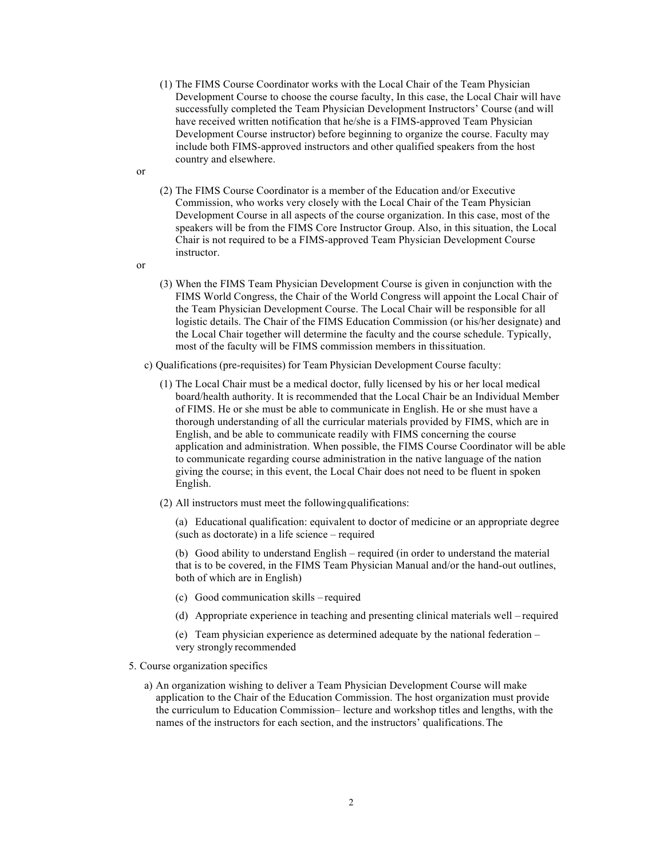- (1) The FIMS Course Coordinator works with the Local Chair of the Team Physician Development Course to choose the course faculty, In this case, the Local Chair will have successfully completed the Team Physician Development Instructors' Course (and will have received written notification that he/she is a FIMS-approved Team Physician Development Course instructor) before beginning to organize the course. Faculty may include both FIMS-approved instructors and other qualified speakers from the host country and elsewhere.
- (2) The FIMS Course Coordinator is a member of the Education and/or Executive Commission, who works very closely with the Local Chair of the Team Physician Development Course in all aspects of the course organization. In this case, most of the speakers will be from the FIMS Core Instructor Group. Also, in this situation, the Local Chair is not required to be a FIMS-approved Team Physician Development Course instructor.

or

or

- (3) When the FIMS Team Physician Development Course is given in conjunction with the FIMS World Congress, the Chair of the World Congress will appoint the Local Chair of the Team Physician Development Course. The Local Chair will be responsible for all logistic details. The Chair of the FIMS Education Commission (or his/her designate) and the Local Chair together will determine the faculty and the course schedule. Typically, most of the faculty will be FIMS commission members in thissituation.
- c) Qualifications (pre-requisites) for Team Physician Development Course faculty:
	- (1) The Local Chair must be a medical doctor, fully licensed by his or her local medical board/health authority. It is recommended that the Local Chair be an Individual Member of FIMS. He or she must be able to communicate in English. He or she must have a thorough understanding of all the curricular materials provided by FIMS, which are in English, and be able to communicate readily with FIMS concerning the course application and administration. When possible, the FIMS Course Coordinator will be able to communicate regarding course administration in the native language of the nation giving the course; in this event, the Local Chair does not need to be fluent in spoken English.
	- (2) All instructors must meet the followingqualifications:
		- (a) Educational qualification: equivalent to doctor of medicine or an appropriate degree (such as doctorate) in a life science – required

(b) Good ability to understand English – required (in order to understand the material that is to be covered, in the FIMS Team Physician Manual and/or the hand-out outlines, both of which are in English)

- (c) Good communication skills required
- (d) Appropriate experience in teaching and presenting clinical materials well required
- (e) Team physician experience as determined adequate by the national federation very strongly recommended

#### 5. Course organization specifics

a) An organization wishing to deliver a Team Physician Development Course will make application to the Chair of the Education Commission. The host organization must provide the curriculum to Education Commission– lecture and workshop titles and lengths, with the names of the instructors for each section, and the instructors' qualifications.The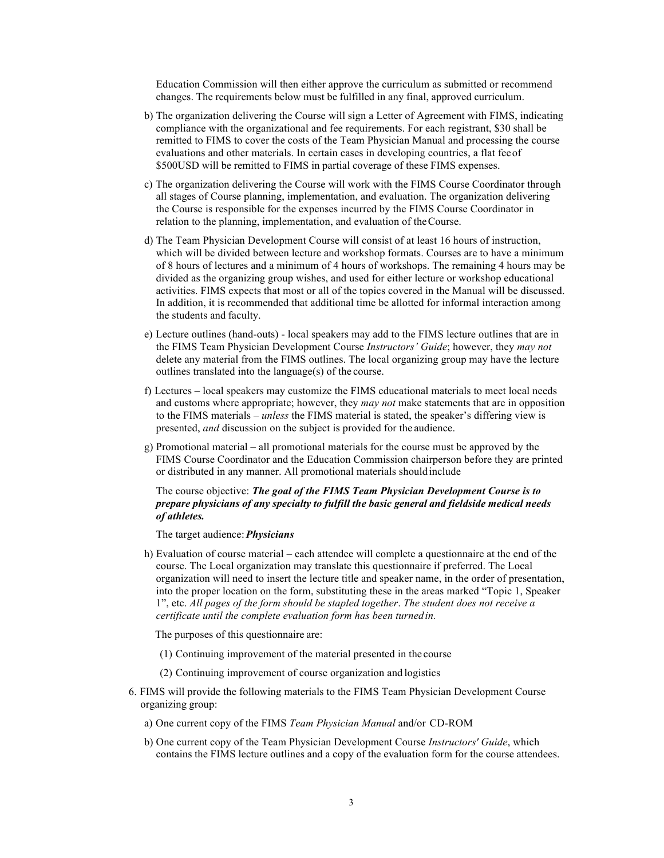Education Commission will then either approve the curriculum as submitted or recommend changes. The requirements below must be fulfilled in any final, approved curriculum.

- b) The organization delivering the Course will sign a Letter of Agreement with FIMS, indicating compliance with the organizational and fee requirements. For each registrant, \$30 shall be remitted to FIMS to cover the costs of the Team Physician Manual and processing the course evaluations and other materials. In certain cases in developing countries, a flat feeof \$500USD will be remitted to FIMS in partial coverage of these FIMS expenses.
- c) The organization delivering the Course will work with the FIMS Course Coordinator through all stages of Course planning, implementation, and evaluation. The organization delivering the Course is responsible for the expenses incurred by the FIMS Course Coordinator in relation to the planning, implementation, and evaluation of theCourse.
- d) The Team Physician Development Course will consist of at least 16 hours of instruction, which will be divided between lecture and workshop formats. Courses are to have a minimum of 8 hours of lectures and a minimum of 4 hours of workshops. The remaining 4 hours may be divided as the organizing group wishes, and used for either lecture or workshop educational activities. FIMS expects that most or all of the topics covered in the Manual will be discussed. In addition, it is recommended that additional time be allotted for informal interaction among the students and faculty.
- e) Lecture outlines (hand-outs) local speakers may add to the FIMS lecture outlines that are in the FIMS Team Physician Development Course *Instructors' Guide*; however, they *may not*  delete any material from the FIMS outlines. The local organizing group may have the lecture outlines translated into the language(s) of the course.
- f) Lectures local speakers may customize the FIMS educational materials to meet local needs and customs where appropriate; however, they *may not* make statements that are in opposition to the FIMS materials – *unless* the FIMS material is stated, the speaker's differing view is presented, *and* discussion on the subject is provided for the audience.
- g) Promotional material all promotional materials for the course must be approved by the FIMS Course Coordinator and the Education Commission chairperson before they are printed or distributed in any manner. All promotional materials shouldinclude

#### The course objective: *The goal of the FIMS Team Physician Development Course is to prepare physicians of any specialty to fulfill the basic general and fieldside medical needs of athletes.*

The target audience:*Physicians*

h) Evaluation of course material – each attendee will complete a questionnaire at the end of the course. The Local organization may translate this questionnaire if preferred. The Local organization will need to insert the lecture title and speaker name, in the order of presentation, into the proper location on the form, substituting these in the areas marked "Topic 1, Speaker 1", etc. *All pages of the form should be stapled together*. *The student does not receive a certificate until the complete evaluation form has been turnedin.*

The purposes of this questionnaire are:

- (1) Continuing improvement of the material presented in the course
- (2) Continuing improvement of course organization and logistics
- 6. FIMS will provide the following materials to the FIMS Team Physician Development Course organizing group:
	- a) One current copy of the FIMS *Team Physician Manual* and/or CD-ROM
	- b) One current copy of the Team Physician Development Course *Instructors' Guide*, which contains the FIMS lecture outlines and a copy of the evaluation form for the course attendees.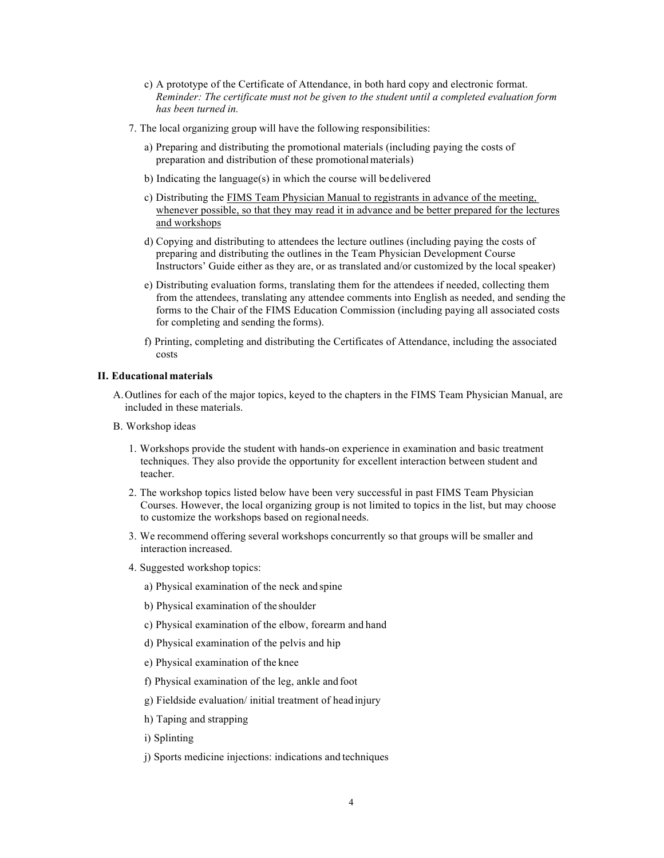- c) A prototype of the Certificate of Attendance, in both hard copy and electronic format. *Reminder: The certificate must not be given to the student until a completed evaluation form has been turned in.*
- 7. The local organizing group will have the following responsibilities:
	- a) Preparing and distributing the promotional materials (including paying the costs of preparation and distribution of these promotional materials)
	- b) Indicating the language(s) in which the course will bedelivered
	- c) Distributing the FIMS Team Physician Manual to registrants in advance of the meeting, whenever possible, so that they may read it in advance and be better prepared for the lectures and workshops
	- d) Copying and distributing to attendees the lecture outlines (including paying the costs of preparing and distributing the outlines in the Team Physician Development Course Instructors' Guide either as they are, or as translated and/or customized by the local speaker)
	- e) Distributing evaluation forms, translating them for the attendees if needed, collecting them from the attendees, translating any attendee comments into English as needed, and sending the forms to the Chair of the FIMS Education Commission (including paying all associated costs for completing and sending the forms).
	- f) Printing, completing and distributing the Certificates of Attendance, including the associated costs

#### **II. Educational materials**

- A.Outlines for each of the major topics, keyed to the chapters in the FIMS Team Physician Manual, are included in these materials.
- B. Workshop ideas
	- 1. Workshops provide the student with hands-on experience in examination and basic treatment techniques. They also provide the opportunity for excellent interaction between student and teacher.
	- 2. The workshop topics listed below have been very successful in past FIMS Team Physician Courses. However, the local organizing group is not limited to topics in the list, but may choose to customize the workshops based on regionalneeds.
	- 3. We recommend offering several workshops concurrently so that groups will be smaller and interaction increased.
	- 4. Suggested workshop topics:
		- a) Physical examination of the neck and spine
		- b) Physical examination of the shoulder
		- c) Physical examination of the elbow, forearm and hand
		- d) Physical examination of the pelvis and hip
		- e) Physical examination of the knee
		- f) Physical examination of the leg, ankle and foot
		- g) Fieldside evaluation/ initial treatment of headinjury
		- h) Taping and strapping
		- i) Splinting
		- j) Sports medicine injections: indications and techniques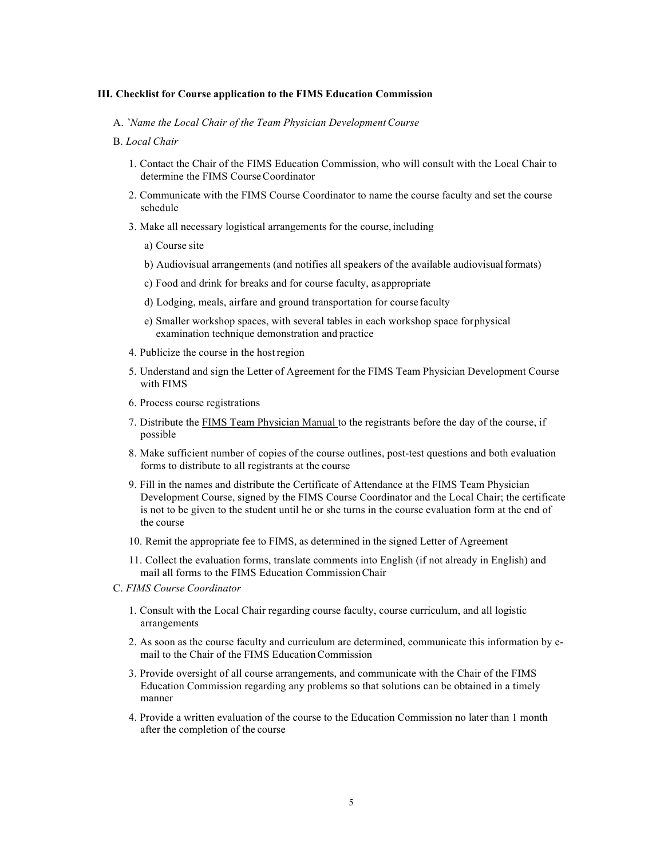#### **III. Checklist for Course application to the FIMS Education Commission**

A. *`Name the Local Chair of the Team Physician Development Course*

#### B. *Local Chair*

- 1. Contact the Chair of the FIMS Education Commission, who will consult with the Local Chair to determine the FIMS Course Coordinator
- 2. Communicate with the FIMS Course Coordinator to name the course faculty and set the course schedule
- 3. Make all necessary logistical arrangements for the course, including
	- a) Course site
	- b) Audiovisual arrangements (and notifies all speakers of the available audiovisualformats)
	- c) Food and drink for breaks and for course faculty, asappropriate
	- d) Lodging, meals, airfare and ground transportation for course faculty
	- e) Smaller workshop spaces, with several tables in each workshop space forphysical examination technique demonstration and practice
- 4. Publicize the course in the host region
- 5. Understand and sign the Letter of Agreement for the FIMS Team Physician Development Course with FIMS
- 6. Process course registrations
- 7. Distribute the FIMS Team Physician Manual to the registrants before the day of the course, if possible
- 8. Make sufficient number of copies of the course outlines, post-test questions and both evaluation forms to distribute to all registrants at the course
- 9. Fill in the names and distribute the Certificate of Attendance at the FIMS Team Physician Development Course, signed by the FIMS Course Coordinator and the Local Chair; the certificate is not to be given to the student until he or she turns in the course evaluation form at the end of the course
- 10. Remit the appropriate fee to FIMS, as determined in the signed Letter of Agreement
- 11. Collect the evaluation forms, translate comments into English (if not already in English) and mail all forms to the FIMS Education CommissionChair
- C. *FIMS Course Coordinator*
	- 1. Consult with the Local Chair regarding course faculty, course curriculum, and all logistic arrangements
	- 2. As soon as the course faculty and curriculum are determined, communicate this information by email to the Chair of the FIMS EducationCommission
	- 3. Provide oversight of all course arrangements, and communicate with the Chair of the FIMS Education Commission regarding any problems so that solutions can be obtained in a timely manner
	- 4. Provide a written evaluation of the course to the Education Commission no later than 1 month after the completion of the course